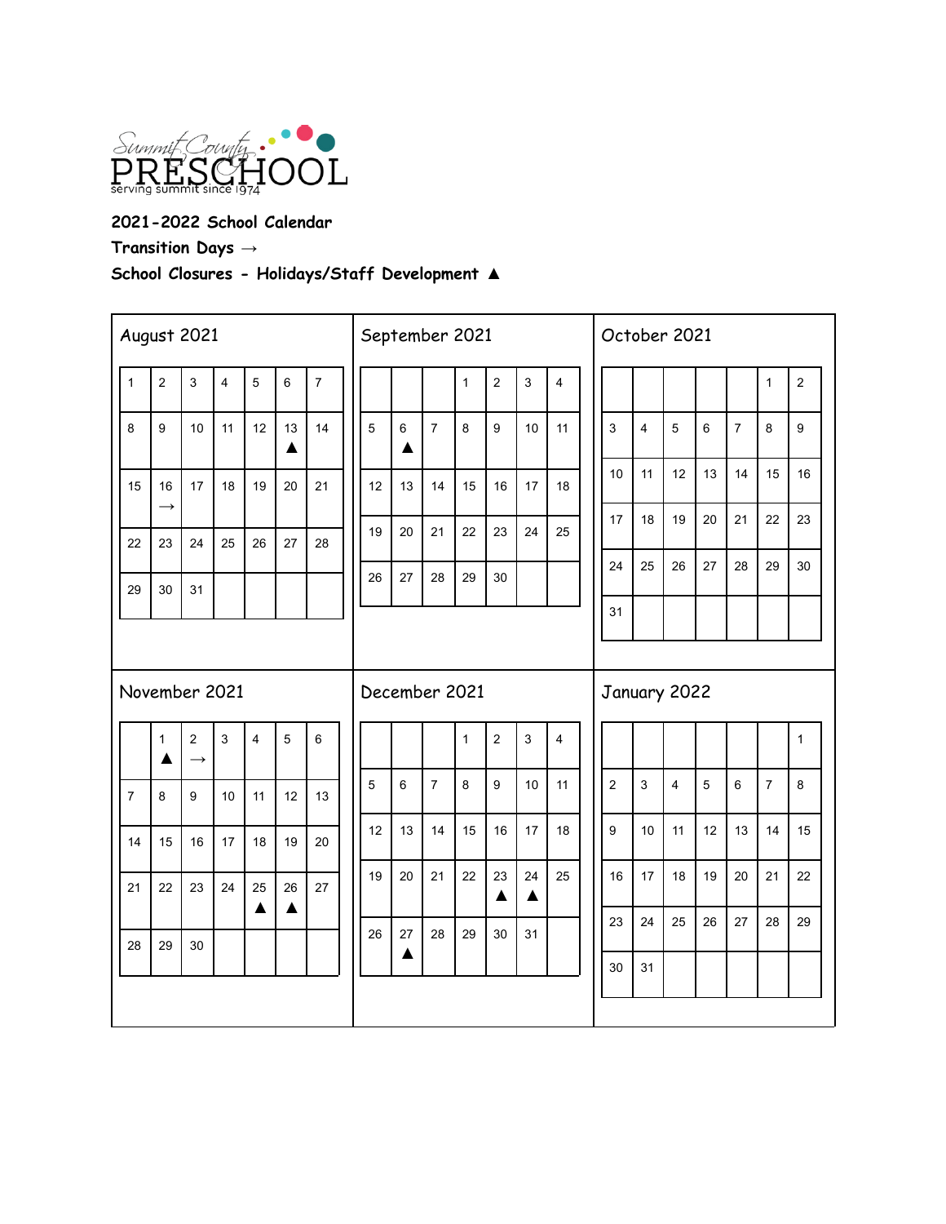

**2021-2022 School Calendar Transition Days →**

**School Closures - Holidays/Staff Development ▲**

| August 2021    |                     |                                 |                         |                |                        |                  |  | September 2021 |         |                |              |                |              |                         |  | October 2021   |    |                         |                |                |                |                |  |  |  |
|----------------|---------------------|---------------------------------|-------------------------|----------------|------------------------|------------------|--|----------------|---------|----------------|--------------|----------------|--------------|-------------------------|--|----------------|----|-------------------------|----------------|----------------|----------------|----------------|--|--|--|
| $\mathbf{1}$   | $\overline{2}$      | 3                               | $\overline{\mathbf{4}}$ | 5              | $\,6\,$                | $\boldsymbol{7}$ |  |                |         |                | $\mathbf{1}$ | $\overline{2}$ | 3            | $\overline{\mathbf{4}}$ |  |                |    |                         |                |                | $\mathbf{1}$   | $\overline{c}$ |  |  |  |
| 8              | 9                   | 10                              | 11                      | 12             | 13<br>$\blacktriangle$ | 14               |  | $\overline{5}$ | $\,6\,$ | $\overline{7}$ | 8            | 9              | 10           | 11                      |  | 3              | 4  | $\overline{5}$          | $\,6$          | $\overline{7}$ | 8              | 9              |  |  |  |
| 15             | 16<br>$\rightarrow$ | 17                              | 18                      | 19             | 20                     | 21               |  | 12             | 13      | 14             | 15           | 16             | 17           | 18                      |  | 10             | 11 | 12                      | 13             | 14             | 15             | 16             |  |  |  |
| 22             | 23                  | 24                              | 25                      | 26             | 27                     | 28               |  | 19             | 20      | 21             | 22           | 23             | 24           | 25                      |  | 17             | 18 | 19                      | 20             | 21             | 22             | 23             |  |  |  |
| 29             | 30                  | 31                              |                         |                |                        |                  |  | 26             | 27      | 28             | 29           | 30             |              |                         |  | 24             | 25 | 26                      | 27             | 28             | 29             | 30             |  |  |  |
|                |                     |                                 |                         |                |                        |                  |  |                |         |                |              |                |              |                         |  | 31             |    |                         |                |                |                |                |  |  |  |
|                |                     |                                 |                         |                |                        |                  |  |                |         |                |              |                |              |                         |  |                |    |                         |                |                |                |                |  |  |  |
|                | November 2021       |                                 |                         |                |                        |                  |  | December 2021  |         |                |              |                |              |                         |  | January 2022   |    |                         |                |                |                |                |  |  |  |
|                | $\mathbf{1}$<br>▲   | $\overline{2}$<br>$\rightarrow$ | $\mathbf{3}$            | $\overline{4}$ | $\overline{5}$         | $\,6\,$          |  |                |         |                | $\mathbf{1}$ | $\overline{2}$ | $\mathbf{3}$ | $\overline{\mathbf{4}}$ |  |                |    |                         |                |                |                | 1              |  |  |  |
| $\overline{7}$ | 8                   | 9                               | 10                      | 11             | 12                     | 13               |  | $\overline{5}$ | $\,6\,$ | $\overline{7}$ | 8            | 9              | 10           | 11                      |  | $\overline{2}$ | 3  | $\overline{\mathbf{4}}$ | $\overline{5}$ | $\,6\,$        | $\overline{7}$ | 8              |  |  |  |
| 14             | 15                  | 16                              | 17                      | 18             | 19                     | 20               |  | 12             | 13      | 14             | 15           | 16             | 17           | 18                      |  | 9              | 10 | 11                      | 12             | 13             | 14             | 15             |  |  |  |
| 21             | 22                  | 23                              | 24                      | 25             | 26                     | 27               |  | 19             | 20      | 21             | 22           | 23<br>▲        | 24<br>▲      | 25                      |  | 16             | 17 | 18                      | 19             | 20             | 21             | 22             |  |  |  |
|                |                     |                                 |                         | ▲              | $\blacktriangle$       |                  |  | 26             | 27      | 28             | 29           | 30             | 31           |                         |  | 23             | 24 | 25                      | 26             | 27             | 28             | 29             |  |  |  |
| 28             | 29                  | 30                              |                         |                |                        |                  |  |                | ▲       |                |              |                |              |                         |  | 30             | 31 |                         |                |                |                |                |  |  |  |
|                |                     |                                 |                         |                |                        |                  |  |                |         |                |              |                |              |                         |  |                |    |                         |                |                |                |                |  |  |  |